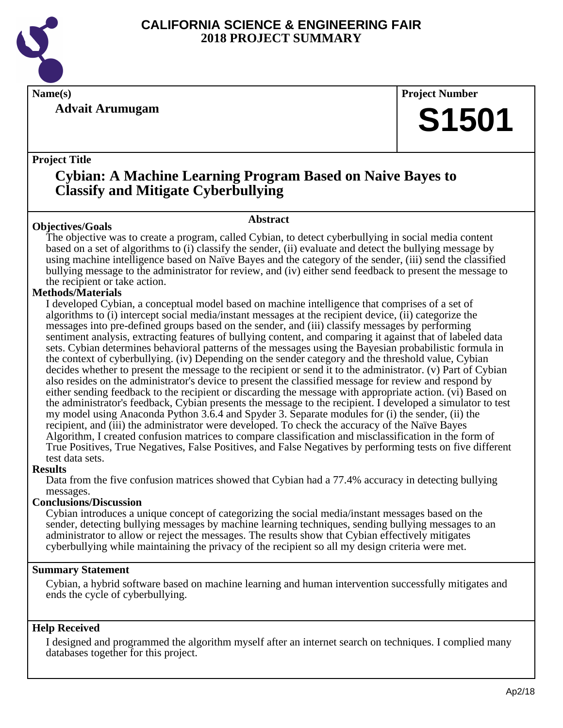

**Advait Arumugam**

**Name(s) Project Number**

# **S1501**

# **Project Title**

# **Cybian: A Machine Learning Program Based on Naive Bayes to Classify and Mitigate Cyberbullying**

# **Abstract**

**Objectives/Goals** The objective was to create a program, called Cybian, to detect cyberbullying in social media content based on a set of algorithms to (i) classify the sender, (ii) evaluate and detect the bullying message by using machine intelligence based on Naïve Bayes and the category of the sender, (iii) send the classified bullying message to the administrator for review, and (iv) either send feedback to present the message to the recipient or take action.

# **Methods/Materials**

I developed Cybian, a conceptual model based on machine intelligence that comprises of a set of algorithms to (i) intercept social media/instant messages at the recipient device, (ii) categorize the messages into pre-defined groups based on the sender, and (iii) classify messages by performing sentiment analysis, extracting features of bullying content, and comparing it against that of labeled data sets. Cybian determines behavioral patterns of the messages using the Bayesian probabilistic formula in the context of cyberbullying. (iv) Depending on the sender category and the threshold value, Cybian decides whether to present the message to the recipient or send it to the administrator. (v) Part of Cybian also resides on the administrator's device to present the classified message for review and respond by either sending feedback to the recipient or discarding the message with appropriate action. (vi) Based on the administrator's feedback, Cybian presents the message to the recipient. I developed a simulator to test my model using Anaconda Python 3.6.4 and Spyder 3. Separate modules for (i) the sender, (ii) the recipient, and (iii) the administrator were developed. To check the accuracy of the Naïve Bayes Algorithm, I created confusion matrices to compare classification and misclassification in the form of True Positives, True Negatives, False Positives, and False Negatives by performing tests on five different test data sets.

# **Results**

Data from the five confusion matrices showed that Cybian had a 77.4% accuracy in detecting bullying messages.

# **Conclusions/Discussion**

Cybian introduces a unique concept of categorizing the social media/instant messages based on the sender, detecting bullying messages by machine learning techniques, sending bullying messages to an administrator to allow or reject the messages. The results show that Cybian effectively mitigates cyberbullying while maintaining the privacy of the recipient so all my design criteria were met.

# **Summary Statement**

Cybian, a hybrid software based on machine learning and human intervention successfully mitigates and ends the cycle of cyberbullying.

# **Help Received**

I designed and programmed the algorithm myself after an internet search on techniques. I complied many databases together for this project.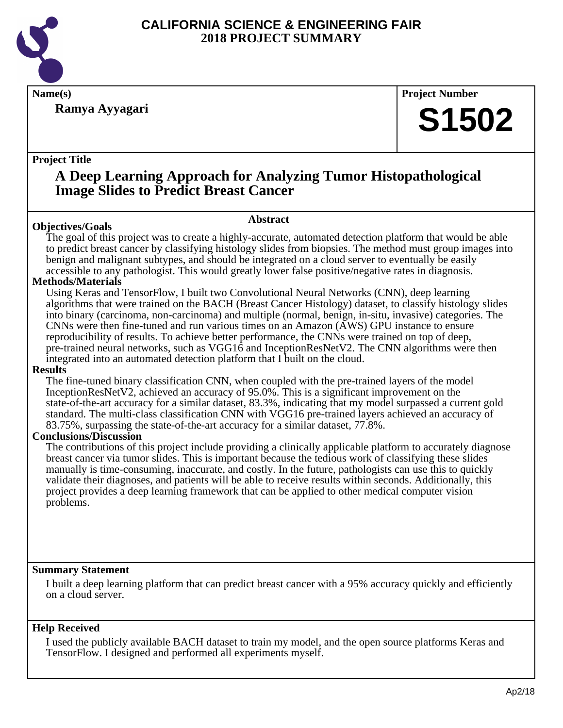

**Ramya Ayyagari**

**Name(s) Project Number**

# **S1502**

# **Project Title**

# **A Deep Learning Approach for Analyzing Tumor Histopathological Image Slides to Predict Breast Cancer**

# **Abstract**

**Objectives/Goals** The goal of this project was to create a highly-accurate, automated detection platform that would be able to predict breast cancer by classifying histology slides from biopsies. The method must group images into benign and malignant subtypes, and should be integrated on a cloud server to eventually be easily accessible to any pathologist. This would greatly lower false positive/negative rates in diagnosis.

# **Methods/Materials**

Using Keras and TensorFlow, I built two Convolutional Neural Networks (CNN), deep learning algorithms that were trained on the BACH (Breast Cancer Histology) dataset, to classify histology slides into binary (carcinoma, non-carcinoma) and multiple (normal, benign, in-situ, invasive) categories. The CNNs were then fine-tuned and run various times on an Amazon (AWS) GPU instance to ensure reproducibility of results. To achieve better performance, the CNNs were trained on top of deep, pre-trained neural networks, such as VGG16 and InceptionResNetV2. The CNN algorithms were then integrated into an automated detection platform that I built on the cloud.

# **Results**

The fine-tuned binary classification CNN, when coupled with the pre-trained layers of the model InceptionResNetV2, achieved an accuracy of 95.0%. This is a significant improvement on the state-of-the-art accuracy for a similar dataset, 83.3%, indicating that my model surpassed a current gold standard. The multi-class classification CNN with VGG16 pre-trained layers achieved an accuracy of 83.75%, surpassing the state-of-the-art accuracy for a similar dataset, 77.8%.

# **Conclusions/Discussion**

The contributions of this project include providing a clinically applicable platform to accurately diagnose breast cancer via tumor slides. This is important because the tedious work of classifying these slides manually is time-consuming, inaccurate, and costly. In the future, pathologists can use this to quickly validate their diagnoses, and patients will be able to receive results within seconds. Additionally, this project provides a deep learning framework that can be applied to other medical computer vision problems.

# **Summary Statement**

I built a deep learning platform that can predict breast cancer with a 95% accuracy quickly and efficiently on a cloud server.

# **Help Received**

I used the publicly available BACH dataset to train my model, and the open source platforms Keras and TensorFlow. I designed and performed all experiments myself.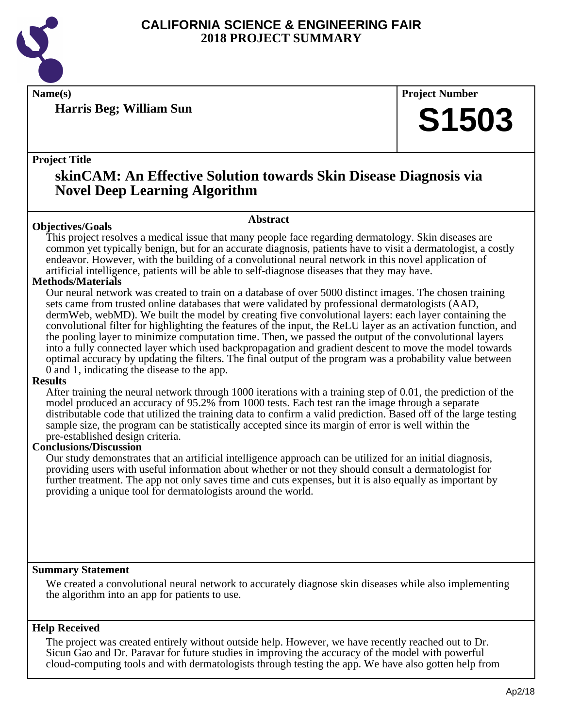

**Harris Beg; William Sun**

**Name(s) Project Number**

# **S1503**

# **Project Title**

# **skinCAM: An Effective Solution towards Skin Disease Diagnosis via Novel Deep Learning Algorithm**

# **Abstract**

**Objectives/Goals** This project resolves a medical issue that many people face regarding dermatology. Skin diseases are common yet typically benign, but for an accurate diagnosis, patients have to visit a dermatologist, a costly endeavor. However, with the building of a convolutional neural network in this novel application of artificial intelligence, patients will be able to self-diagnose diseases that they may have.

# **Methods/Materials**

Our neural network was created to train on a database of over 5000 distinct images. The chosen training sets came from trusted online databases that were validated by professional dermatologists (AAD, dermWeb, webMD). We built the model by creating five convolutional layers: each layer containing the convolutional filter for highlighting the features of the input, the ReLU layer as an activation function, and the pooling layer to minimize computation time. Then, we passed the output of the convolutional layers into a fully connected layer which used backpropagation and gradient descent to move the model towards optimal accuracy by updating the filters. The final output of the program was a probability value between 0 and 1, indicating the disease to the app.

# **Results**

After training the neural network through 1000 iterations with a training step of 0.01, the prediction of the model produced an accuracy of 95.2% from 1000 tests. Each test ran the image through a separate distributable code that utilized the training data to confirm a valid prediction. Based off of the large testing sample size, the program can be statistically accepted since its margin of error is well within the pre-established design criteria.

# **Conclusions/Discussion**

Our study demonstrates that an artificial intelligence approach can be utilized for an initial diagnosis, providing users with useful information about whether or not they should consult a dermatologist for further treatment. The app not only saves time and cuts expenses, but it is also equally as important by providing a unique tool for dermatologists around the world.

# **Summary Statement**

We created a convolutional neural network to accurately diagnose skin diseases while also implementing the algorithm into an app for patients to use.

# **Help Received**

The project was created entirely without outside help. However, we have recently reached out to Dr. Sicun Gao and Dr. Paravar for future studies in improving the accuracy of the model with powerful cloud-computing tools and with dermatologists through testing the app. We have also gotten help from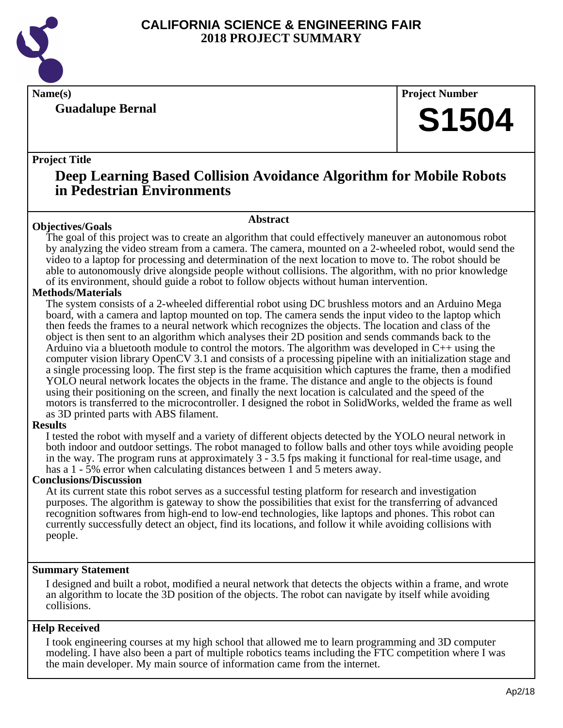

**Guadalupe Bernal**

**Name(s) Project Number**

# **S1504**

# **Project Title**

# **Deep Learning Based Collision Avoidance Algorithm for Mobile Robots in Pedestrian Environments**

# **Abstract**

**Objectives/Goals** The goal of this project was to create an algorithm that could effectively maneuver an autonomous robot by analyzing the video stream from a camera. The camera, mounted on a 2-wheeled robot, would send the video to a laptop for processing and determination of the next location to move to. The robot should be able to autonomously drive alongside people without collisions. The algorithm, with no prior knowledge of its environment, should guide a robot to follow objects without human intervention.

# **Methods/Materials**

The system consists of a 2-wheeled differential robot using DC brushless motors and an Arduino Mega board, with a camera and laptop mounted on top. The camera sends the input video to the laptop which then feeds the frames to a neural network which recognizes the objects. The location and class of the object is then sent to an algorithm which analyses their 2D position and sends commands back to the Arduino via a bluetooth module to control the motors. The algorithm was developed in C++ using the computer vision library OpenCV 3.1 and consists of a processing pipeline with an initialization stage and a single processing loop. The first step is the frame acquisition which captures the frame, then a modified YOLO neural network locates the objects in the frame. The distance and angle to the objects is found using their positioning on the screen, and finally the next location is calculated and the speed of the motors is transferred to the microcontroller. I designed the robot in SolidWorks, welded the frame as well as 3D printed parts with ABS filament.

# **Results**

I tested the robot with myself and a variety of different objects detected by the YOLO neural network in both indoor and outdoor settings. The robot managed to follow balls and other toys while avoiding people in the way. The program runs at approximately 3 - 3.5 fps making it functional for real-time usage, and has a 1 - 5% error when calculating distances between 1 and 5 meters away.

# **Conclusions/Discussion**

At its current state this robot serves as a successful testing platform for research and investigation purposes. The algorithm is gateway to show the possibilities that exist for the transferring of advanced recognition softwares from high-end to low-end technologies, like laptops and phones. This robot can currently successfully detect an object, find its locations, and follow it while avoiding collisions with people.

# **Summary Statement**

I designed and built a robot, modified a neural network that detects the objects within a frame, and wrote an algorithm to locate the 3D position of the objects. The robot can navigate by itself while avoiding collisions.

# **Help Received**

I took engineering courses at my high school that allowed me to learn programming and 3D computer modeling. I have also been a part of multiple robotics teams including the FTC competition where I was the main developer. My main source of information came from the internet.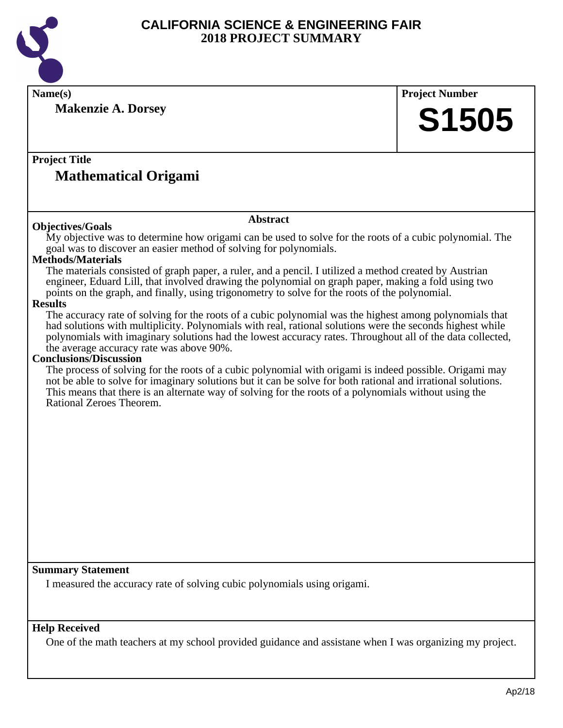

**Name(s) Project Number**

**Makenzie A. Dorsey**

**S1505**

# **Project Title Mathematical Origami**

# **Objectives/Goals**

#### **Abstract**

My objective was to determine how origami can be used to solve for the roots of a cubic polynomial. The goal was to discover an easier method of solving for polynomials.

# **Methods/Materials**

The materials consisted of graph paper, a ruler, and a pencil. I utilized a method created by Austrian engineer, Eduard Lill, that involved drawing the polynomial on graph paper, making a fold using two points on the graph, and finally, using trigonometry to solve for the roots of the polynomial.

# **Results**

The accuracy rate of solving for the roots of a cubic polynomial was the highest among polynomials that had solutions with multiplicity. Polynomials with real, rational solutions were the seconds highest while polynomials with imaginary solutions had the lowest accuracy rates. Throughout all of the data collected, the average accuracy rate was above 90%.

#### **Conclusions/Discussion**

The process of solving for the roots of a cubic polynomial with origami is indeed possible. Origami may not be able to solve for imaginary solutions but it can be solve for both rational and irrational solutions. This means that there is an alternate way of solving for the roots of a polynomials without using the Rational Zeroes Theorem.

# **Summary Statement**

I measured the accuracy rate of solving cubic polynomials using origami.

# **Help Received**

One of the math teachers at my school provided guidance and assistane when I was organizing my project.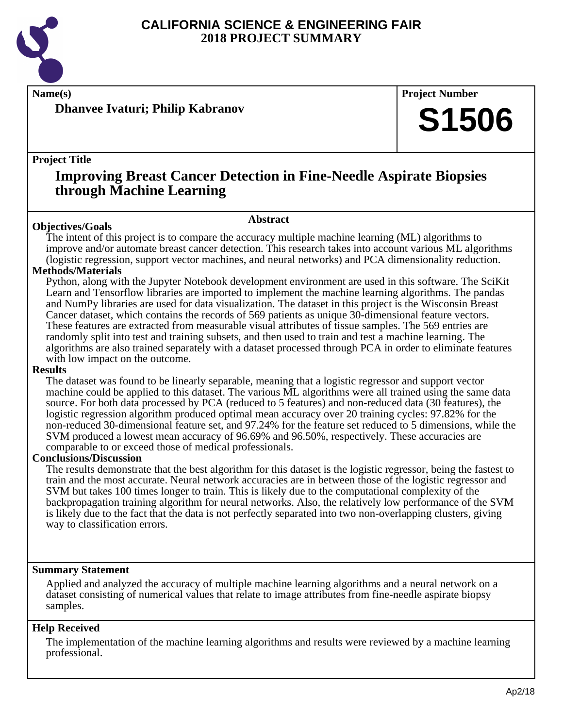

**Name(s) Project Number**

**Dhanvee Ivaturi; Philip Kabranov**

# **Project Title**

# **Improving Breast Cancer Detection in Fine-Needle Aspirate Biopsies through Machine Learning**

#### **Abstract**

**Objectives/Goals** The intent of this project is to compare the accuracy multiple machine learning (ML) algorithms to improve and/or automate breast cancer detection. This research takes into account various ML algorithms (logistic regression, support vector machines, and neural networks) and PCA dimensionality reduction.

# **Methods/Materials**

Python, along with the Jupyter Notebook development environment are used in this software. The SciKit Learn and Tensorflow libraries are imported to implement the machine learning algorithms. The pandas and NumPy libraries are used for data visualization. The dataset in this project is the Wisconsin Breast Cancer dataset, which contains the records of 569 patients as unique 30-dimensional feature vectors. These features are extracted from measurable visual attributes of tissue samples. The 569 entries are randomly split into test and training subsets, and then used to train and test a machine learning. The algorithms are also trained separately with a dataset processed through PCA in order to eliminate features with low impact on the outcome.

#### **Results**

The dataset was found to be linearly separable, meaning that a logistic regressor and support vector machine could be applied to this dataset. The various ML algorithms were all trained using the same data source. For both data processed by PCA (reduced to 5 features) and non-reduced data (30 features), the logistic regression algorithm produced optimal mean accuracy over 20 training cycles: 97.82% for the non-reduced 30-dimensional feature set, and 97.24% for the feature set reduced to 5 dimensions, while the SVM produced a lowest mean accuracy of 96.69% and 96.50%, respectively. These accuracies are comparable to or exceed those of medical professionals.

# **Conclusions/Discussion**

The results demonstrate that the best algorithm for this dataset is the logistic regressor, being the fastest to train and the most accurate. Neural network accuracies are in between those of the logistic regressor and SVM but takes 100 times longer to train. This is likely due to the computational complexity of the backpropagation training algorithm for neural networks. Also, the relatively low performance of the SVM is likely due to the fact that the data is not perfectly separated into two non-overlapping clusters, giving way to classification errors.

# **Summary Statement**

Applied and analyzed the accuracy of multiple machine learning algorithms and a neural network on a dataset consisting of numerical values that relate to image attributes from fine-needle aspirate biopsy samples.

# **Help Received**

The implementation of the machine learning algorithms and results were reviewed by a machine learning professional.

**S1506**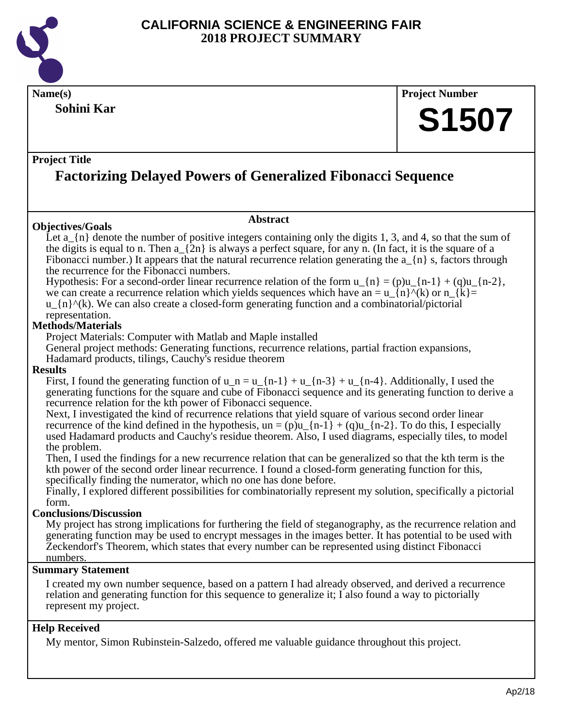

**Name(s) Project Number Project Title Abstract Summary Statement Help Received Sohini Kar Factorizing Delayed Powers of Generalized Fibonacci Sequence S1507 Objectives/Goals** Let  $a_{n}$  and 4, so that the number of positive integers containing only the digits 1, 3, and 4, so that the sum of the digits is equal to n. Then a  $\{2n\}$  is always a perfect square, for any n. (In fact, it is the square of a Fibonacci number.) It appears that the natural recurrence relation generating the a  $\{n\}$  s, factors through the recurrence for the Fibonacci numbers. Hypothesis: For a second-order linear recurrence relation of the form  $u_{\text{-}}\{n\} = (p)u_{\text{-}}\{n-1\} + (q)u_{\text{-}}\{n-2\}$ , we can create a recurrence relation which yields sequences which have an =  $u_{\text{I}}(n)$  (k) or  $n_{\text{I}}(k)$ = u  $\{n\}^{\wedge}(k)$ . We can also create a closed-form generating function and a combinatorial/pictorial representation. **Methods/Materials** Project Materials: Computer with Matlab and Maple installed General project methods: Generating functions, recurrence relations, partial fraction expansions, Hadamard products, tilings, Cauchy's residue theorem **Results** First, I found the generating function of  $u_n = u_{n-1} + u_{n-1} + u_{n-2} + u_{n-1} + u_{n-1}$ . Additionally, I used the generating functions for the square and cube of Fibonacci sequence and its generating function to derive a recurrence relation for the kth power of Fibonacci sequence. Next, I investigated the kind of recurrence relations that yield square of various second order linear recurrence of the kind defined in the hypothesis,  $un = (p)u_{n-1} + (q)u_{n-2}$ . To do this, I especially used Hadamard products and Cauchy's residue theorem. Also, I used diagrams, especially tiles, to model the problem. Then, I used the findings for a new recurrence relation that can be generalized so that the kth term is the kth power of the second order linear recurrence. I found a closed-form generating function for this, specifically finding the numerator, which no one has done before. Finally, I explored different possibilities for combinatorially represent my solution, specifically a pictorial form. **Conclusions/Discussion** My project has strong implications for furthering the field of steganography, as the recurrence relation and generating function may be used to encrypt messages in the images better. It has potential to be used with Zeckendorf's Theorem, which states that every number can be represented using distinct Fibonacci numbers. I created my own number sequence, based on a pattern I had already observed, and derived a recurrence relation and generating function for this sequence to generalize it; I also found a way to pictorially represent my project. My mentor, Simon Rubinstein-Salzedo, offered me valuable guidance throughout this project.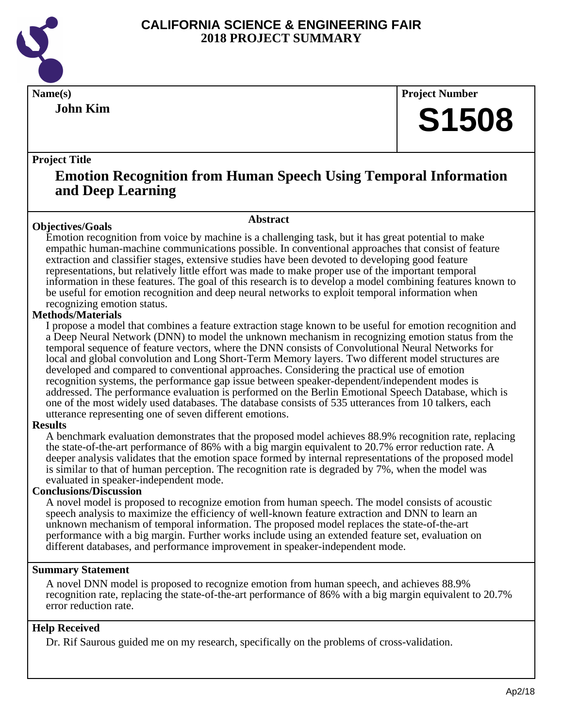

**John Kim**

**Name(s) Project Number**

# **S1508**

# **Project Title**

# **Emotion Recognition from Human Speech Using Temporal Information and Deep Learning**

# **Objectives/Goals**

**Abstract**

Emotion recognition from voice by machine is a challenging task, but it has great potential to make empathic human-machine communications possible. In conventional approaches that consist of feature extraction and classifier stages, extensive studies have been devoted to developing good feature representations, but relatively little effort was made to make proper use of the important temporal information in these features. The goal of this research is to develop a model combining features known to be useful for emotion recognition and deep neural networks to exploit temporal information when recognizing emotion status.

# **Methods/Materials**

I propose a model that combines a feature extraction stage known to be useful for emotion recognition and a Deep Neural Network (DNN) to model the unknown mechanism in recognizing emotion status from the temporal sequence of feature vectors, where the DNN consists of Convolutional Neural Networks for local and global convolution and Long Short-Term Memory layers. Two different model structures are developed and compared to conventional approaches. Considering the practical use of emotion recognition systems, the performance gap issue between speaker-dependent/independent modes is addressed. The performance evaluation is performed on the Berlin Emotional Speech Database, which is one of the most widely used databases. The database consists of 535 utterances from 10 talkers, each utterance representing one of seven different emotions.

# **Results**

A benchmark evaluation demonstrates that the proposed model achieves 88.9% recognition rate, replacing the state-of-the-art performance of 86% with a big margin equivalent to 20.7% error reduction rate. A deeper analysis validates that the emotion space formed by internal representations of the proposed model is similar to that of human perception. The recognition rate is degraded by 7%, when the model was evaluated in speaker-independent mode.

# **Conclusions/Discussion**

A novel model is proposed to recognize emotion from human speech. The model consists of acoustic speech analysis to maximize the efficiency of well-known feature extraction and DNN to learn an unknown mechanism of temporal information. The proposed model replaces the state-of-the-art performance with a big margin. Further works include using an extended feature set, evaluation on different databases, and performance improvement in speaker-independent mode.

# **Summary Statement**

A novel DNN model is proposed to recognize emotion from human speech, and achieves 88.9% recognition rate, replacing the state-of-the-art performance of 86% with a big margin equivalent to 20.7% error reduction rate.

# **Help Received**

Dr. Rif Saurous guided me on my research, specifically on the problems of cross-validation.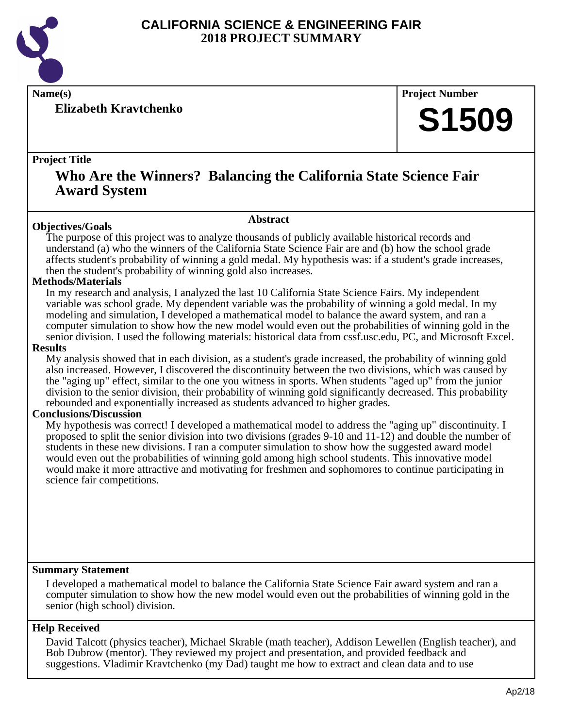

**Elizabeth Kravtchenko**

**Name(s) Project Number**

# **S1509**

# **Project Title**

# **Who Are the Winners? Balancing the California State Science Fair Award System**

# **Abstract**

**Objectives/Goals** The purpose of this project was to analyze thousands of publicly available historical records and understand (a) who the winners of the California State Science Fair are and (b) how the school grade affects student's probability of winning a gold medal. My hypothesis was: if a student's grade increases, then the student's probability of winning gold also increases.

# **Methods/Materials**

In my research and analysis, I analyzed the last 10 California State Science Fairs. My independent variable was school grade. My dependent variable was the probability of winning a gold medal. In my modeling and simulation, I developed a mathematical model to balance the award system, and ran a computer simulation to show how the new model would even out the probabilities of winning gold in the senior division. I used the following materials: historical data from cssf.usc.edu, PC, and Microsoft Excel.

# **Results**

My analysis showed that in each division, as a student's grade increased, the probability of winning gold also increased. However, I discovered the discontinuity between the two divisions, which was caused by the "aging up" effect, similar to the one you witness in sports. When students "aged up" from the junior division to the senior division, their probability of winning gold significantly decreased. This probability rebounded and exponentially increased as students advanced to higher grades.

# **Conclusions/Discussion**

My hypothesis was correct! I developed a mathematical model to address the "aging up" discontinuity. I proposed to split the senior division into two divisions (grades 9-10 and 11-12) and double the number of students in these new divisions. I ran a computer simulation to show how the suggested award model would even out the probabilities of winning gold among high school students. This innovative model would make it more attractive and motivating for freshmen and sophomores to continue participating in science fair competitions.

# **Summary Statement**

I developed a mathematical model to balance the California State Science Fair award system and ran a computer simulation to show how the new model would even out the probabilities of winning gold in the senior (high school) division.

# **Help Received**

David Talcott (physics teacher), Michael Skrable (math teacher), Addison Lewellen (English teacher), and Bob Dubrow (mentor). They reviewed my project and presentation, and provided feedback and suggestions. Vladimir Kravtchenko (my Dad) taught me how to extract and clean data and to use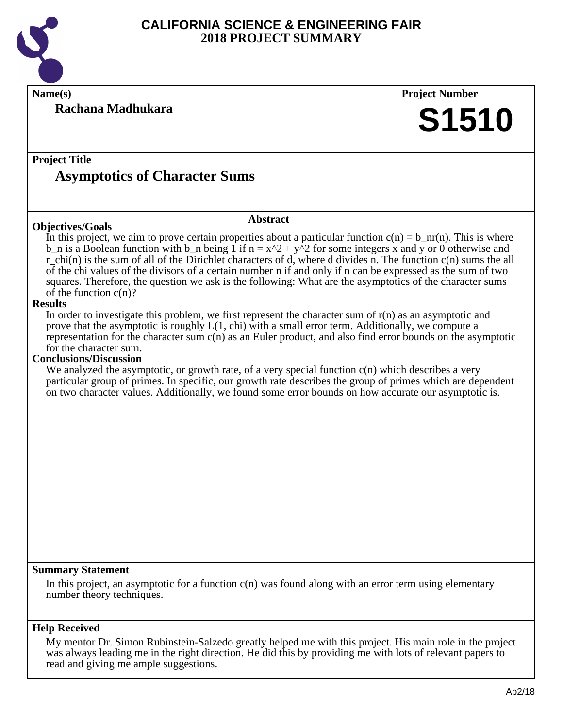

**Rachana Madhukara**

**Name(s) Project Number**

# **S1510**

# **Project Title Asymptotics of Character Sums**

# **Abstract**

In this project, we aim to prove certain properties about a particular function  $c(n) = b_nr(n)$ . This is where b\_n is a Boolean function with b\_n being 1 if n =  $x^2 + y^2$  for some integers x and y or 0 otherwise and r\_chi(n) is the sum of all of the Dirichlet characters of d, where d divides n. The function c(n) sums the all of the chi values of the divisors of a certain number n if and only if n can be expressed as the sum of two squares. Therefore, the question we ask is the following: What are the asymptotics of the character sums of the function  $c(n)$ ?

# **Results**

**Objectives/Goals**

In order to investigate this problem, we first represent the character sum of  $r(n)$  as an asymptotic and prove that the asymptotic is roughly  $L(1, chi)$  with a small error term. Additionally, we compute a representation for the character sum  $c(n)$  as an Euler product, and also find error bounds on the asymptotic for the character sum.

#### **Conclusions/Discussion**

We analyzed the asymptotic, or growth rate, of a very special function  $c(n)$  which describes a very particular group of primes. In specific, our growth rate describes the group of primes which are dependent on two character values. Additionally, we found some error bounds on how accurate our asymptotic is.

#### **Summary Statement**

In this project, an asymptotic for a function  $c(n)$  was found along with an error term using elementary number theory techniques.

# **Help Received**

My mentor Dr. Simon Rubinstein-Salzedo greatly helped me with this project. His main role in the project was always leading me in the right direction. He did this by providing me with lots of relevant papers to read and giving me ample suggestions.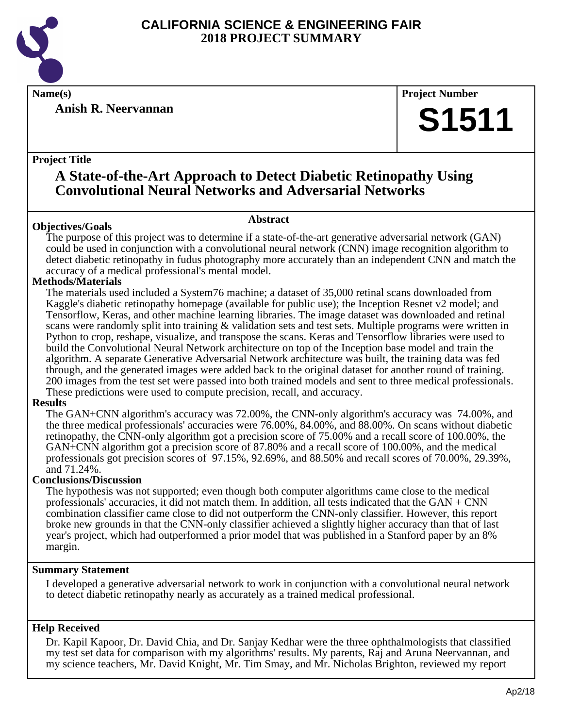

**Anish R. Neervannan**

**Name(s) Project Number**

# **S1511**

# **Project Title**

# **A State-of-the-Art Approach to Detect Diabetic Retinopathy Using Convolutional Neural Networks and Adversarial Networks**

# **Abstract**

**Objectives/Goals** The purpose of this project was to determine if a state-of-the-art generative adversarial network (GAN) could be used in conjunction with a convolutional neural network (CNN) image recognition algorithm to detect diabetic retinopathy in fudus photography more accurately than an independent CNN and match the accuracy of a medical professional's mental model.

# **Methods/Materials**

The materials used included a System76 machine; a dataset of 35,000 retinal scans downloaded from Kaggle's diabetic retinopathy homepage (available for public use); the Inception Resnet v2 model; and Tensorflow, Keras, and other machine learning libraries. The image dataset was downloaded and retinal scans were randomly split into training & validation sets and test sets. Multiple programs were written in Python to crop, reshape, visualize, and transpose the scans. Keras and Tensorflow libraries were used to build the Convolutional Neural Network architecture on top of the Inception base model and train the algorithm. A separate Generative Adversarial Network architecture was built, the training data was fed through, and the generated images were added back to the original dataset for another round of training. 200 images from the test set were passed into both trained models and sent to three medical professionals. These predictions were used to compute precision, recall, and accuracy.

# **Results**

The GAN+CNN algorithm's accuracy was 72.00%, the CNN-only algorithm's accuracy was 74.00%, and the three medical professionals' accuracies were 76.00%, 84.00%, and 88.00%. On scans without diabetic retinopathy, the CNN-only algorithm got a precision score of 75.00% and a recall score of 100.00%, the GAN+CNN algorithm got a precision score of 87.80% and a recall score of 100.00%, and the medical professionals got precision scores of 97.15%, 92.69%, and 88.50% and recall scores of 70.00%, 29.39%, and 71.24%.

# **Conclusions/Discussion**

The hypothesis was not supported; even though both computer algorithms came close to the medical professionals' accuracies, it did not match them. In addition, all tests indicated that the  $GAN + CNN$ combination classifier came close to did not outperform the CNN-only classifier. However, this report broke new grounds in that the CNN-only classifier achieved a slightly higher accuracy than that of last year's project, which had outperformed a prior model that was published in a Stanford paper by an 8% margin.

# **Summary Statement**

I developed a generative adversarial network to work in conjunction with a convolutional neural network to detect diabetic retinopathy nearly as accurately as a trained medical professional.

# **Help Received**

Dr. Kapil Kapoor, Dr. David Chia, and Dr. Sanjay Kedhar were the three ophthalmologists that classified my test set data for comparison with my algorithms' results. My parents, Raj and Aruna Neervannan, and my science teachers, Mr. David Knight, Mr. Tim Smay, and Mr. Nicholas Brighton, reviewed my report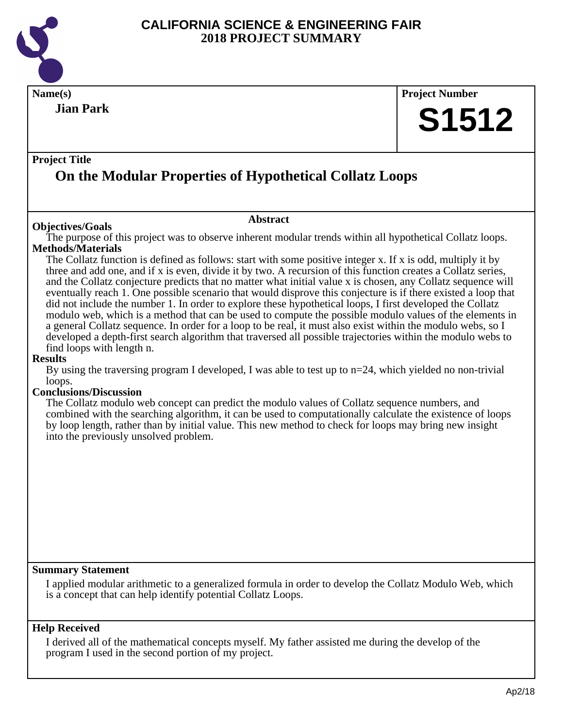

| Name(s)                                                                                                                                                                                                              |                                                                                                                                                                                                                              |  | <b>Project Number</b> |
|----------------------------------------------------------------------------------------------------------------------------------------------------------------------------------------------------------------------|------------------------------------------------------------------------------------------------------------------------------------------------------------------------------------------------------------------------------|--|-----------------------|
| <b>Jian Park</b>                                                                                                                                                                                                     |                                                                                                                                                                                                                              |  |                       |
|                                                                                                                                                                                                                      |                                                                                                                                                                                                                              |  | <b>S1512</b>          |
|                                                                                                                                                                                                                      |                                                                                                                                                                                                                              |  |                       |
| <b>Project Title</b>                                                                                                                                                                                                 |                                                                                                                                                                                                                              |  |                       |
|                                                                                                                                                                                                                      | On the Modular Properties of Hypothetical Collatz Loops                                                                                                                                                                      |  |                       |
|                                                                                                                                                                                                                      |                                                                                                                                                                                                                              |  |                       |
|                                                                                                                                                                                                                      | <b>Abstract</b>                                                                                                                                                                                                              |  |                       |
| <b>Objectives/Goals</b>                                                                                                                                                                                              | The purpose of this project was to observe inherent modular trends within all hypothetical Collatz loops.                                                                                                                    |  |                       |
| <b>Methods/Materials</b>                                                                                                                                                                                             |                                                                                                                                                                                                                              |  |                       |
|                                                                                                                                                                                                                      | The Collatz function is defined as follows: start with some positive integer x. If x is odd, multiply it by<br>three and add one, and if x is even, divide it by two. A recursion of this function creates a Collatz series, |  |                       |
|                                                                                                                                                                                                                      | and the Collatz conjecture predicts that no matter what initial value x is chosen, any Collatz sequence will                                                                                                                 |  |                       |
|                                                                                                                                                                                                                      | eventually reach 1. One possible scenario that would disprove this conjecture is if there existed a loop that                                                                                                                |  |                       |
| did not include the number 1. In order to explore these hypothetical loops, I first developed the Collatz<br>modulo web, which is a method that can be used to compute the possible modulo values of the elements in |                                                                                                                                                                                                                              |  |                       |
|                                                                                                                                                                                                                      | a general Collatz sequence. In order for a loop to be real, it must also exist within the modulo webs, so I                                                                                                                  |  |                       |
|                                                                                                                                                                                                                      | developed a depth-first search algorithm that traversed all possible trajectories within the modulo webs to                                                                                                                  |  |                       |
| find loops with length n.<br><b>Results</b>                                                                                                                                                                          |                                                                                                                                                                                                                              |  |                       |
|                                                                                                                                                                                                                      | By using the traversing program I developed, I was able to test up to $n=24$ , which yielded no non-trivial                                                                                                                  |  |                       |
| loops.<br><b>Conclusions/Discussion</b>                                                                                                                                                                              |                                                                                                                                                                                                                              |  |                       |
|                                                                                                                                                                                                                      | The Collatz modulo web concept can predict the modulo values of Collatz sequence numbers, and                                                                                                                                |  |                       |
|                                                                                                                                                                                                                      | combined with the searching algorithm, it can be used to computationally calculate the existence of loops                                                                                                                    |  |                       |
| into the previously unsolved problem.                                                                                                                                                                                | by loop length, rather than by initial value. This new method to check for loops may bring new insight                                                                                                                       |  |                       |
|                                                                                                                                                                                                                      |                                                                                                                                                                                                                              |  |                       |
|                                                                                                                                                                                                                      |                                                                                                                                                                                                                              |  |                       |
|                                                                                                                                                                                                                      |                                                                                                                                                                                                                              |  |                       |
|                                                                                                                                                                                                                      |                                                                                                                                                                                                                              |  |                       |
|                                                                                                                                                                                                                      |                                                                                                                                                                                                                              |  |                       |
|                                                                                                                                                                                                                      |                                                                                                                                                                                                                              |  |                       |
|                                                                                                                                                                                                                      |                                                                                                                                                                                                                              |  |                       |
|                                                                                                                                                                                                                      |                                                                                                                                                                                                                              |  |                       |
| <b>Summary Statement</b>                                                                                                                                                                                             |                                                                                                                                                                                                                              |  |                       |
| is a concept that can help identify potential Collatz Loops.                                                                                                                                                         | I applied modular arithmetic to a generalized formula in order to develop the Collatz Modulo Web, which                                                                                                                      |  |                       |
|                                                                                                                                                                                                                      |                                                                                                                                                                                                                              |  |                       |
| <b>Help Received</b>                                                                                                                                                                                                 |                                                                                                                                                                                                                              |  |                       |

I derived all of the mathematical concepts myself. My father assisted me during the develop of the program I used in the second portion of my project.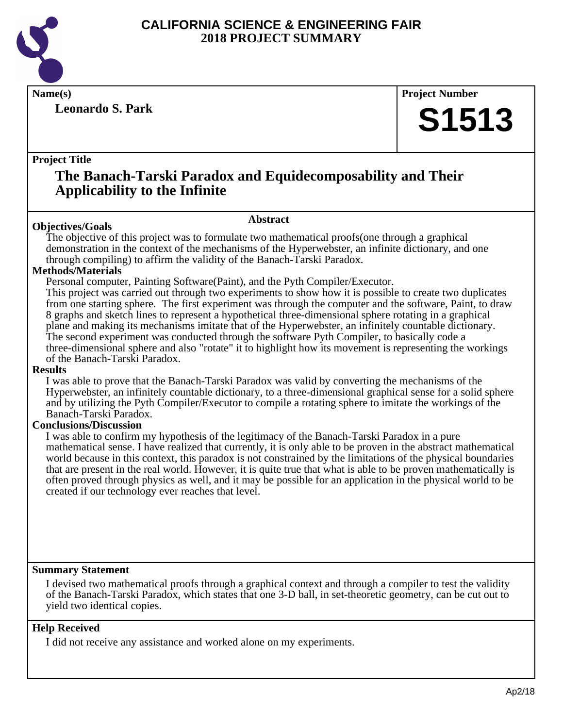

**Leonardo S. Park**

**Name(s) Project Number**

# **S1513**

# **Project Title**

# **The Banach-Tarski Paradox and Equidecomposability and Their Applicability to the Infinite**

# **Objectives/Goals**

# **Abstract**

The objective of this project was to formulate two mathematical proofs(one through a graphical demonstration in the context of the mechanisms of the Hyperwebster, an infinite dictionary, and one through compiling) to affirm the validity of the Banach-Tarski Paradox.

# **Methods/Materials**

Personal computer, Painting Software(Paint), and the Pyth Compiler/Executor.

This project was carried out through two experiments to show how it is possible to create two duplicates from one starting sphere. The first experiment was through the computer and the software, Paint, to draw 8 graphs and sketch lines to represent a hypothetical three-dimensional sphere rotating in a graphical plane and making its mechanisms imitate that of the Hyperwebster, an infinitely countable dictionary. The second experiment was conducted through the software Pyth Compiler, to basically code a three-dimensional sphere and also "rotate" it to highlight how its movement is representing the workings of the Banach-Tarski Paradox.

# **Results**

I was able to prove that the Banach-Tarski Paradox was valid by converting the mechanisms of the Hyperwebster, an infinitely countable dictionary, to a three-dimensional graphical sense for a solid sphere and by utilizing the Pyth Compiler/Executor to compile a rotating sphere to imitate the workings of the Banach-Tarski Paradox.

# **Conclusions/Discussion**

I was able to confirm my hypothesis of the legitimacy of the Banach-Tarski Paradox in a pure mathematical sense. I have realized that currently, it is only able to be proven in the abstract mathematical world because in this context, this paradox is not constrained by the limitations of the physical boundaries that are present in the real world. However, it is quite true that what is able to be proven mathematically is often proved through physics as well, and it may be possible for an application in the physical world to be created if our technology ever reaches that level.

# **Summary Statement**

I devised two mathematical proofs through a graphical context and through a compiler to test the validity of the Banach-Tarski Paradox, which states that one 3-D ball, in set-theoretic geometry, can be cut out to yield two identical copies.

# **Help Received**

I did not receive any assistance and worked alone on my experiments.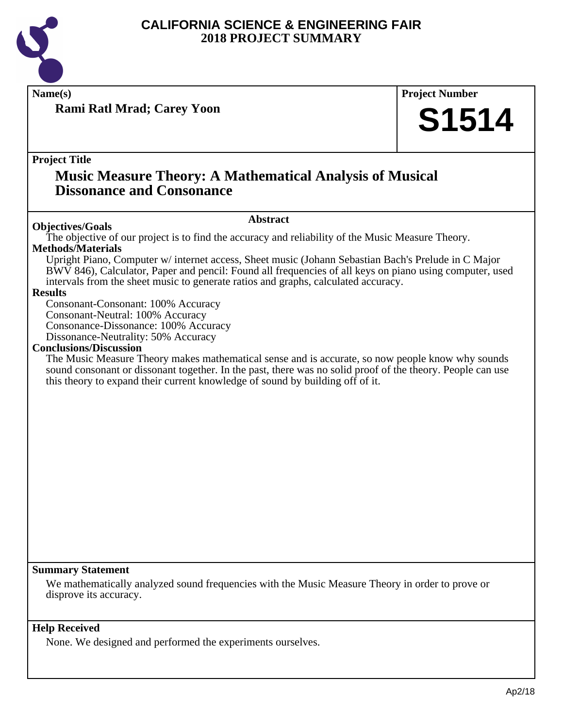

**Rami Ratl Mrad; Carey Yoon**

**Name(s) Project Number**

# **S1514**

**Project Title**

# **Music Measure Theory: A Mathematical Analysis of Musical Dissonance and Consonance**

# **Abstract**

**Objectives/Goals** The objective of our project is to find the accuracy and reliability of the Music Measure Theory. **Methods/Materials**

Upright Piano, Computer w/ internet access, Sheet music (Johann Sebastian Bach's Prelude in C Major BWV 846), Calculator, Paper and pencil: Found all frequencies of all keys on piano using computer, used intervals from the sheet music to generate ratios and graphs, calculated accuracy.

# **Results**

Consonant-Consonant: 100% Accuracy Consonant-Neutral: 100% Accuracy Consonance-Dissonance: 100% Accuracy Dissonance-Neutrality: 50% Accuracy

# **Conclusions/Discussion**

The Music Measure Theory makes mathematical sense and is accurate, so now people know why sounds sound consonant or dissonant together. In the past, there was no solid proof of the theory. People can use this theory to expand their current knowledge of sound by building off of it.

# **Summary Statement**

We mathematically analyzed sound frequencies with the Music Measure Theory in order to prove or disprove its accuracy.

# **Help Received**

None. We designed and performed the experiments ourselves.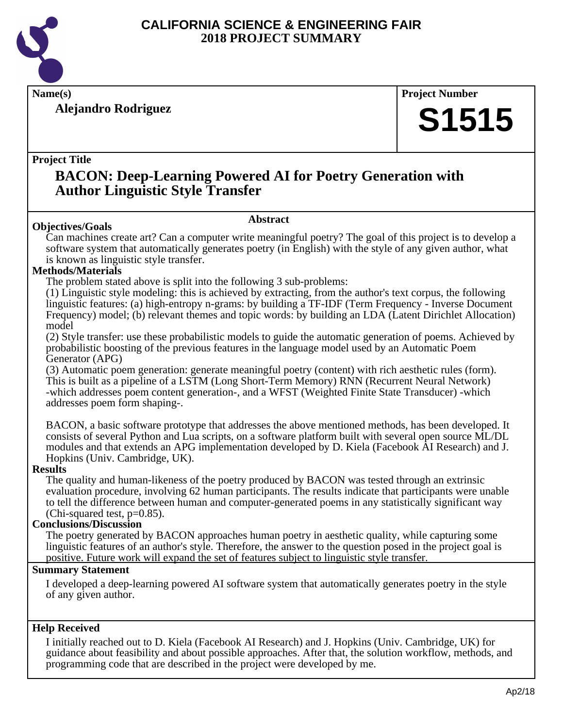

**Alejandro Rodriguez**

**Name(s) Project Number**

# **S1515**

# **Project Title**

# **BACON: Deep-Learning Powered AI for Poetry Generation with Author Linguistic Style Transfer**

# **Abstract**

Can machines create art? Can a computer write meaningful poetry? The goal of this project is to develop a software system that automatically generates poetry (in English) with the style of any given author, what is known as linguistic style transfer.

# **Methods/Materials**

**Objectives/Goals**

The problem stated above is split into the following 3 sub-problems:

(1) Linguistic style modeling: this is achieved by extracting, from the author's text corpus, the following linguistic features: (a) high-entropy n-grams: by building a TF-IDF (Term Frequency - Inverse Document Frequency) model; (b) relevant themes and topic words: by building an LDA (Latent Dirichlet Allocation) model

(2) Style transfer: use these probabilistic models to guide the automatic generation of poems. Achieved by probabilistic boosting of the previous features in the language model used by an Automatic Poem Generator (APG)

(3) Automatic poem generation: generate meaningful poetry (content) with rich aesthetic rules (form). This is built as a pipeline of a LSTM (Long Short-Term Memory) RNN (Recurrent Neural Network) -which addresses poem content generation-, and a WFST (Weighted Finite State Transducer) -which addresses poem form shaping-.

BACON, a basic software prototype that addresses the above mentioned methods, has been developed. It consists of several Python and Lua scripts, on a software platform built with several open source ML/DL modules and that extends an APG implementation developed by D. Kiela (Facebook AI Research) and J. Hopkins (Univ. Cambridge, UK).

# **Results**

The quality and human-likeness of the poetry produced by BACON was tested through an extrinsic evaluation procedure, involving 62 human participants. The results indicate that participants were unable to tell the difference between human and computer-generated poems in any statistically significant way (Chi-squared test,  $p=0.85$ ).

# **Conclusions/Discussion**

The poetry generated by BACON approaches human poetry in aesthetic quality, while capturing some linguistic features of an author's style. Therefore, the answer to the question posed in the project goal is positive. Future work will expand the set of features subject to linguistic style transfer.

# **Summary Statement**

I developed a deep-learning powered AI software system that automatically generates poetry in the style of any given author.

# **Help Received**

I initially reached out to D. Kiela (Facebook AI Research) and J. Hopkins (Univ. Cambridge, UK) for guidance about feasibility and about possible approaches. After that, the solution workflow, methods, and programming code that are described in the project were developed by me.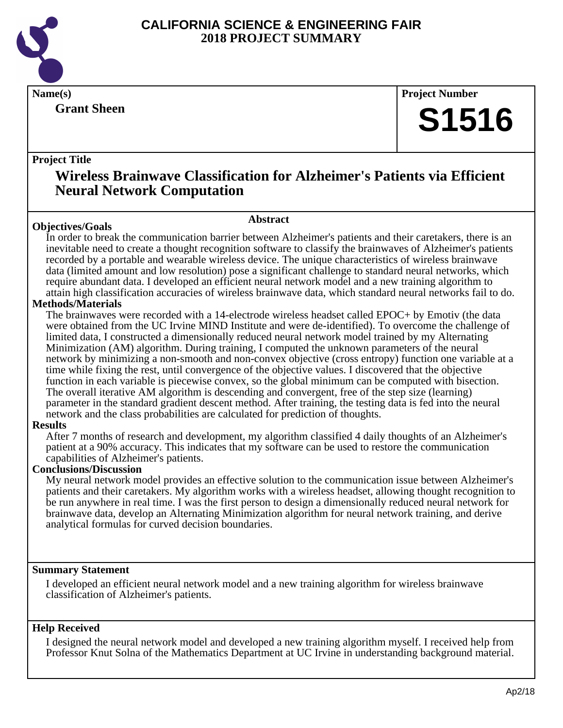

**Grant Sheen**

**Name(s) Project Number**

# **S1516**

# **Project Title**

# **Wireless Brainwave Classification for Alzheimer's Patients via Efficient Neural Network Computation**

# **Objectives/Goals**

**Abstract**

In order to break the communication barrier between Alzheimer's patients and their caretakers, there is an inevitable need to create a thought recognition software to classify the brainwaves of Alzheimer's patients recorded by a portable and wearable wireless device. The unique characteristics of wireless brainwave data (limited amount and low resolution) pose a significant challenge to standard neural networks, which require abundant data. I developed an efficient neural network model and a new training algorithm to attain high classification accuracies of wireless brainwave data, which standard neural networks fail to do.

# **Methods/Materials**

The brainwaves were recorded with a 14-electrode wireless headset called EPOC+ by Emotiv (the data were obtained from the UC Irvine MIND Institute and were de-identified). To overcome the challenge of limited data, I constructed a dimensionally reduced neural network model trained by my Alternating Minimization (AM) algorithm. During training, I computed the unknown parameters of the neural network by minimizing a non-smooth and non-convex objective (cross entropy) function one variable at a time while fixing the rest, until convergence of the objective values. I discovered that the objective function in each variable is piecewise convex, so the global minimum can be computed with bisection. The overall iterative AM algorithm is descending and convergent, free of the step size (learning) parameter in the standard gradient descent method. After training, the testing data is fed into the neural network and the class probabilities are calculated for prediction of thoughts.

# **Results**

After 7 months of research and development, my algorithm classified 4 daily thoughts of an Alzheimer's patient at a 90% accuracy. This indicates that my software can be used to restore the communication capabilities of Alzheimer's patients.

# **Conclusions/Discussion**

My neural network model provides an effective solution to the communication issue between Alzheimer's patients and their caretakers. My algorithm works with a wireless headset, allowing thought recognition to be run anywhere in real time. I was the first person to design a dimensionally reduced neural network for brainwave data, develop an Alternating Minimization algorithm for neural network training, and derive analytical formulas for curved decision boundaries.

# **Summary Statement**

I developed an efficient neural network model and a new training algorithm for wireless brainwave classification of Alzheimer's patients.

# **Help Received**

I designed the neural network model and developed a new training algorithm myself. I received help from Professor Knut Solna of the Mathematics Department at UC Irvine in understanding background material.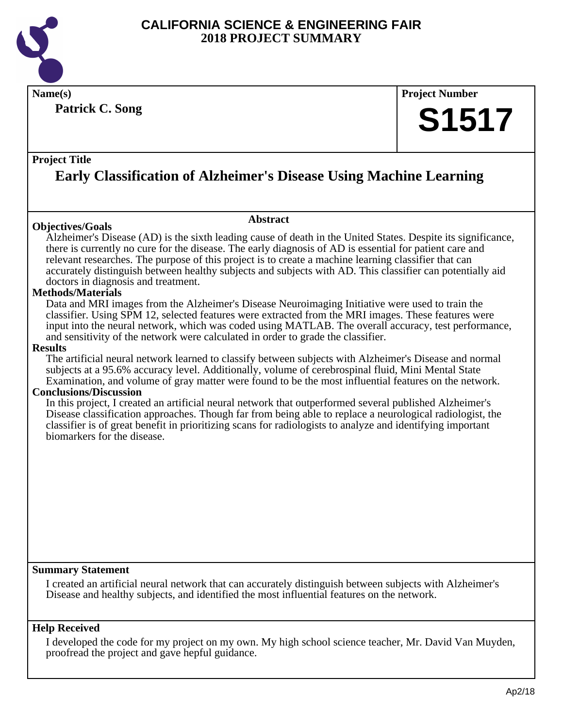

**Patrick C. Song**

# **Name(s) Project Number S1517**

# **Project Title**

# **Early Classification of Alzheimer's Disease Using Machine Learning**

# **Objectives/Goals**

Alzheimer's Disease (AD) is the sixth leading cause of death in the United States. Despite its significance, there is currently no cure for the disease. The early diagnosis of AD is essential for patient care and relevant researches. The purpose of this project is to create a machine learning classifier that can accurately distinguish between healthy subjects and subjects with AD. This classifier can potentially aid doctors in diagnosis and treatment.

**Abstract**

# **Methods/Materials**

Data and MRI images from the Alzheimer's Disease Neuroimaging Initiative were used to train the classifier. Using SPM 12, selected features were extracted from the MRI images. These features were input into the neural network, which was coded using MATLAB. The overall accuracy, test performance, and sensitivity of the network were calculated in order to grade the classifier.

#### **Results**

The artificial neural network learned to classify between subjects with Alzheimer's Disease and normal subjects at a 95.6% accuracy level. Additionally, volume of cerebrospinal fluid, Mini Mental State Examination, and volume of gray matter were found to be the most influential features on the network.

# **Conclusions/Discussion**

In this project, I created an artificial neural network that outperformed several published Alzheimer's Disease classification approaches. Though far from being able to replace a neurological radiologist, the classifier is of great benefit in prioritizing scans for radiologists to analyze and identifying important biomarkers for the disease.

# **Summary Statement**

I created an artificial neural network that can accurately distinguish between subjects with Alzheimer's Disease and healthy subjects, and identified the most influential features on the network.

# **Help Received**

I developed the code for my project on my own. My high school science teacher, Mr. David Van Muyden, proofread the project and gave hepful guidance.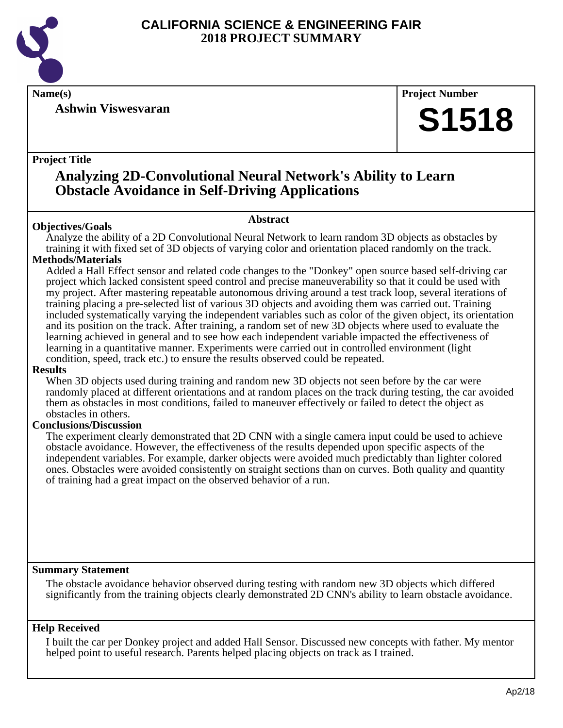

**Ashwin Viswesvaran**

**Name(s) Project Number**

# **S1518**

# **Project Title**

# **Analyzing 2D-Convolutional Neural Network's Ability to Learn Obstacle Avoidance in Self-Driving Applications**

# **Abstract**

**Objectives/Goals** Analyze the ability of a 2D Convolutional Neural Network to learn random 3D objects as obstacles by training it with fixed set of 3D objects of varying color and orientation placed randomly on the track.

# **Methods/Materials**

Added a Hall Effect sensor and related code changes to the "Donkey" open source based self-driving car project which lacked consistent speed control and precise maneuverability so that it could be used with my project. After mastering repeatable autonomous driving around a test track loop, several iterations of training placing a pre-selected list of various 3D objects and avoiding them was carried out. Training included systematically varying the independent variables such as color of the given object, its orientation and its position on the track. After training, a random set of new 3D objects where used to evaluate the learning achieved in general and to see how each independent variable impacted the effectiveness of learning in a quantitative manner. Experiments were carried out in controlled environment (light condition, speed, track etc.) to ensure the results observed could be repeated.

# **Results**

When 3D objects used during training and random new 3D objects not seen before by the car were randomly placed at different orientations and at random places on the track during testing, the car avoided them as obstacles in most conditions, failed to maneuver effectively or failed to detect the object as obstacles in others.

# **Conclusions/Discussion**

The experiment clearly demonstrated that 2D CNN with a single camera input could be used to achieve obstacle avoidance. However, the effectiveness of the results depended upon specific aspects of the independent variables. For example, darker objects were avoided much predictably than lighter colored ones. Obstacles were avoided consistently on straight sections than on curves. Both quality and quantity of training had a great impact on the observed behavior of a run.

# **Summary Statement**

The obstacle avoidance behavior observed during testing with random new 3D objects which differed significantly from the training objects clearly demonstrated 2D CNN's ability to learn obstacle avoidance.

# **Help Received**

I built the car per Donkey project and added Hall Sensor. Discussed new concepts with father. My mentor helped point to useful research. Parents helped placing objects on track as I trained.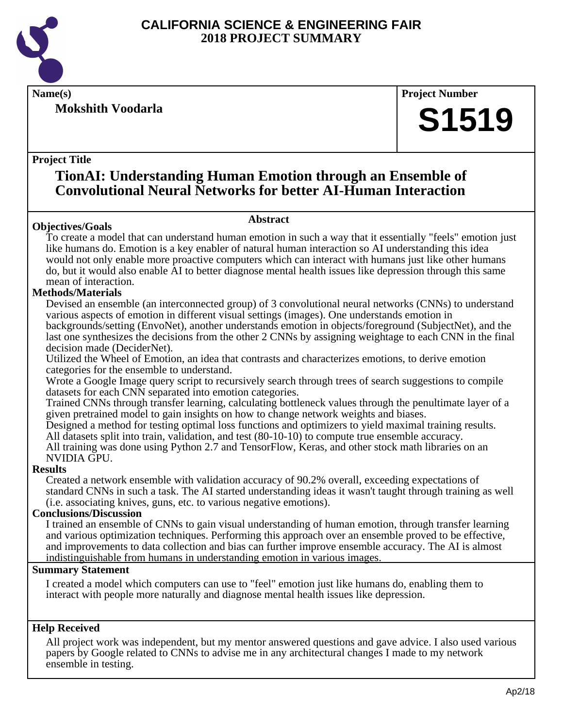

**Mokshith Voodarla**

**Name(s) Project Number**

# **S1519**

# **Project Title**

# **TionAI: Understanding Human Emotion through an Ensemble of Convolutional Neural Networks for better AI-Human Interaction**

# **Abstract**

**Objectives/Goals** To create a model that can understand human emotion in such a way that it essentially "feels" emotion just like humans do. Emotion is a key enabler of natural human interaction so AI understanding this idea would not only enable more proactive computers which can interact with humans just like other humans do, but it would also enable AI to better diagnose mental health issues like depression through this same mean of interaction.

# **Methods/Materials**

Devised an ensemble (an interconnected group) of 3 convolutional neural networks (CNNs) to understand various aspects of emotion in different visual settings (images). One understands emotion in backgrounds/setting (EnvoNet), another understands emotion in objects/foreground (SubjectNet), and the last one synthesizes the decisions from the other 2 CNNs by assigning weightage to each CNN in the final decision made (DeciderNet).

Utilized the Wheel of Emotion, an idea that contrasts and characterizes emotions, to derive emotion categories for the ensemble to understand.

Wrote a Google Image query script to recursively search through trees of search suggestions to compile datasets for each CNN separated into emotion categories.

Trained CNNs through transfer learning, calculating bottleneck values through the penultimate layer of a given pretrained model to gain insights on how to change network weights and biases.

Designed a method for testing optimal loss functions and optimizers to yield maximal training results. All datasets split into train, validation, and test (80-10-10) to compute true ensemble accuracy.

All training was done using Python 2.7 and TensorFlow, Keras, and other stock math libraries on an NVIDIA GPU.

# **Results**

Created a network ensemble with validation accuracy of 90.2% overall, exceeding expectations of standard CNNs in such a task. The AI started understanding ideas it wasn't taught through training as well (i.e. associating knives, guns, etc. to various negative emotions).

# **Conclusions/Discussion**

I trained an ensemble of CNNs to gain visual understanding of human emotion, through transfer learning and various optimization techniques. Performing this approach over an ensemble proved to be effective, and improvements to data collection and bias can further improve ensemble accuracy. The AI is almost indistinguishable from humans in understanding emotion in various images.

# **Summary Statement**

I created a model which computers can use to "feel" emotion just like humans do, enabling them to interact with people more naturally and diagnose mental health issues like depression.

# **Help Received**

All project work was independent, but my mentor answered questions and gave advice. I also used various papers by Google related to CNNs to advise me in any architectural changes I made to my network ensemble in testing.